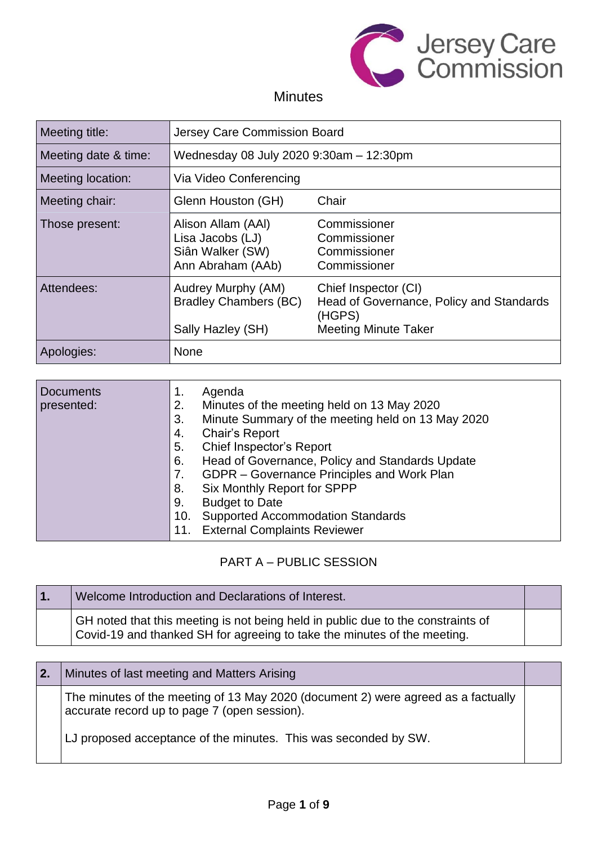

## **Minutes**

| Meeting title:       | Jersey Care Commission Board                                                    |                                                                                                           |
|----------------------|---------------------------------------------------------------------------------|-----------------------------------------------------------------------------------------------------------|
| Meeting date & time: | Wednesday 08 July 2020 9:30am - 12:30pm                                         |                                                                                                           |
| Meeting location:    | Via Video Conferencing                                                          |                                                                                                           |
| Meeting chair:       | Glenn Houston (GH)                                                              | Chair                                                                                                     |
| Those present:       | Alison Allam (AAI)<br>Lisa Jacobs (LJ)<br>Siân Walker (SW)<br>Ann Abraham (AAb) | Commissioner<br>Commissioner<br>Commissioner<br>Commissioner                                              |
| Attendees:           | Audrey Murphy (AM)<br><b>Bradley Chambers (BC)</b><br>Sally Hazley (SH)         | Chief Inspector (CI)<br>Head of Governance, Policy and Standards<br>(HGPS)<br><b>Meeting Minute Taker</b> |
| Apologies:           | None                                                                            |                                                                                                           |

| <b>Documents</b><br>presented: | Agenda<br>1.<br>Minutes of the meeting held on 13 May 2020<br>2. |
|--------------------------------|------------------------------------------------------------------|
|                                | Minute Summary of the meeting held on 13 May 2020<br>3.          |
|                                | <b>Chair's Report</b><br>4.                                      |
|                                | Chief Inspector's Report<br>5.                                   |
|                                | Head of Governance, Policy and Standards Update<br>6.            |
|                                | GDPR - Governance Principles and Work Plan<br>7.                 |
|                                | Six Monthly Report for SPPP<br>8.                                |
|                                | <b>Budget to Date</b><br>9.                                      |
|                                | <b>Supported Accommodation Standards</b><br>10.                  |
|                                | <b>External Complaints Reviewer</b><br>11.                       |

## PART A – PUBLIC SESSION

| $\blacksquare$ | Welcome Introduction and Declarations of Interest.                                                                                                           |  |
|----------------|--------------------------------------------------------------------------------------------------------------------------------------------------------------|--|
|                | GH noted that this meeting is not being held in public due to the constraints of<br>Covid-19 and thanked SH for agreeing to take the minutes of the meeting. |  |

| 2. | Minutes of last meeting and Matters Arising                                                                                       |  |
|----|-----------------------------------------------------------------------------------------------------------------------------------|--|
|    | The minutes of the meeting of 13 May 2020 (document 2) were agreed as a factually<br>accurate record up to page 7 (open session). |  |
|    | LJ proposed acceptance of the minutes. This was seconded by SW.                                                                   |  |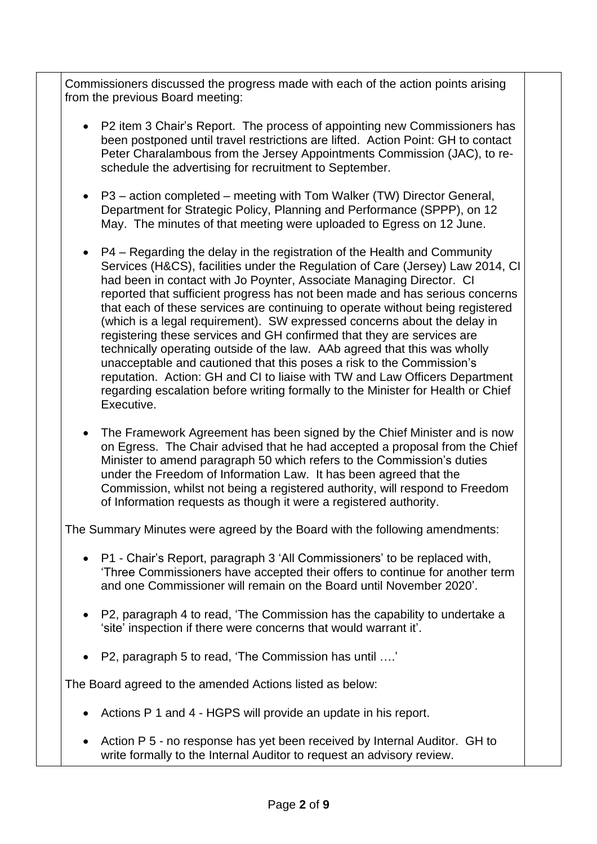Commissioners discussed the progress made with each of the action points arising from the previous Board meeting:

- P2 item 3 Chair's Report. The process of appointing new Commissioners has been postponed until travel restrictions are lifted. Action Point: GH to contact Peter Charalambous from the Jersey Appointments Commission (JAC), to reschedule the advertising for recruitment to September.
- P3 action completed meeting with Tom Walker (TW) Director General, Department for Strategic Policy, Planning and Performance (SPPP), on 12 May. The minutes of that meeting were uploaded to Egress on 12 June.
- P4 Regarding the delay in the registration of the Health and Community Services (H&CS), facilities under the Regulation of Care (Jersey) Law 2014, CI had been in contact with Jo Poynter, Associate Managing Director. CI reported that sufficient progress has not been made and has serious concerns that each of these services are continuing to operate without being registered (which is a legal requirement). SW expressed concerns about the delay in registering these services and GH confirmed that they are services are technically operating outside of the law. AAb agreed that this was wholly unacceptable and cautioned that this poses a risk to the Commission's reputation. Action: GH and CI to liaise with TW and Law Officers Department regarding escalation before writing formally to the Minister for Health or Chief Executive.
- The Framework Agreement has been signed by the Chief Minister and is now on Egress. The Chair advised that he had accepted a proposal from the Chief Minister to amend paragraph 50 which refers to the Commission's duties under the Freedom of Information Law. It has been agreed that the Commission, whilst not being a registered authority, will respond to Freedom of Information requests as though it were a registered authority.

The Summary Minutes were agreed by the Board with the following amendments:

- P1 Chair's Report, paragraph 3 'All Commissioners' to be replaced with, 'Three Commissioners have accepted their offers to continue for another term and one Commissioner will remain on the Board until November 2020'.
- P2, paragraph 4 to read, 'The Commission has the capability to undertake a 'site' inspection if there were concerns that would warrant it'.
- P2, paragraph 5 to read, 'The Commission has until ….'

The Board agreed to the amended Actions listed as below:

- Actions P 1 and 4 HGPS will provide an update in his report.
- Action P 5 no response has yet been received by Internal Auditor. GH to write formally to the Internal Auditor to request an advisory review.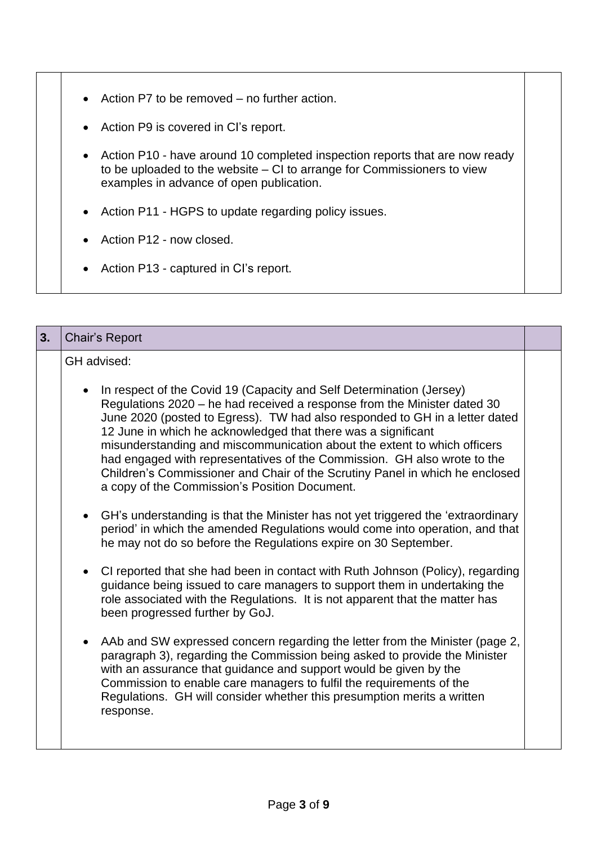- Action P7 to be removed no further action.
- Action P9 is covered in CI's report.
- Action P10 have around 10 completed inspection reports that are now ready to be uploaded to the website – CI to arrange for Commissioners to view examples in advance of open publication.
- Action P11 HGPS to update regarding policy issues.
- Action P12 now closed.
- Action P13 captured in CI's report.

| 3. | Chair's Report                                                                                                                                                                                                                                                                                                                                                                                                                                                                                                                                                                                                                                                                                                                                                                                                                                                                                                                                                                                                                                                                                                                                                                                                                                                                                                                                                                                                                                                                                                                       |  |
|----|--------------------------------------------------------------------------------------------------------------------------------------------------------------------------------------------------------------------------------------------------------------------------------------------------------------------------------------------------------------------------------------------------------------------------------------------------------------------------------------------------------------------------------------------------------------------------------------------------------------------------------------------------------------------------------------------------------------------------------------------------------------------------------------------------------------------------------------------------------------------------------------------------------------------------------------------------------------------------------------------------------------------------------------------------------------------------------------------------------------------------------------------------------------------------------------------------------------------------------------------------------------------------------------------------------------------------------------------------------------------------------------------------------------------------------------------------------------------------------------------------------------------------------------|--|
|    | GH advised:<br>In respect of the Covid 19 (Capacity and Self Determination (Jersey)<br>Regulations 2020 – he had received a response from the Minister dated 30<br>June 2020 (posted to Egress). TW had also responded to GH in a letter dated<br>12 June in which he acknowledged that there was a significant<br>misunderstanding and miscommunication about the extent to which officers<br>had engaged with representatives of the Commission. GH also wrote to the<br>Children's Commissioner and Chair of the Scrutiny Panel in which he enclosed<br>a copy of the Commission's Position Document.<br>GH's understanding is that the Minister has not yet triggered the 'extraordinary<br>period' in which the amended Regulations would come into operation, and that<br>he may not do so before the Regulations expire on 30 September.<br>CI reported that she had been in contact with Ruth Johnson (Policy), regarding<br>guidance being issued to care managers to support them in undertaking the<br>role associated with the Regulations. It is not apparent that the matter has<br>been progressed further by GoJ.<br>AAb and SW expressed concern regarding the letter from the Minister (page 2,<br>paragraph 3), regarding the Commission being asked to provide the Minister<br>with an assurance that guidance and support would be given by the<br>Commission to enable care managers to fulfil the requirements of the<br>Regulations. GH will consider whether this presumption merits a written<br>response. |  |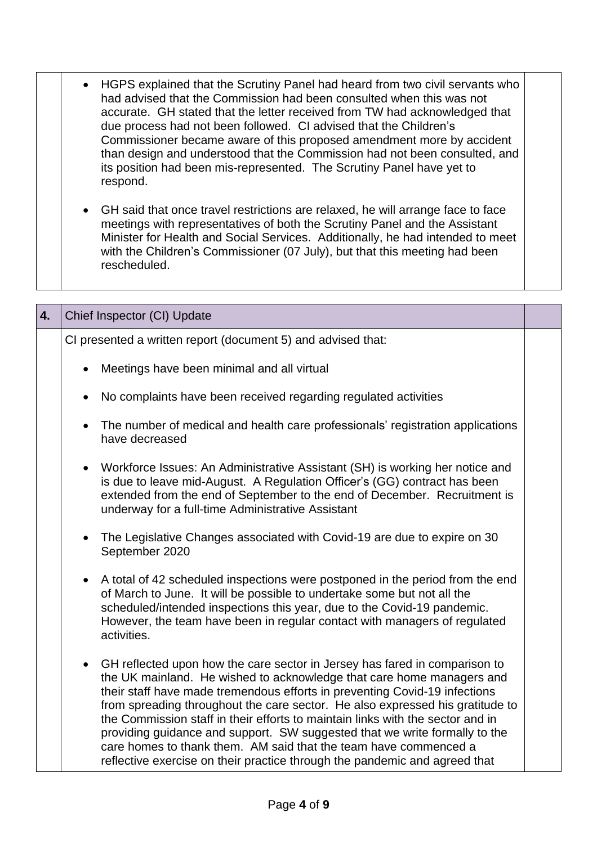|  | • HGPS explained that the Scrutiny Panel had heard from two civil servants who<br>had advised that the Commission had been consulted when this was not<br>accurate. GH stated that the letter received from TW had acknowledged that<br>due process had not been followed. CI advised that the Children's<br>Commissioner became aware of this proposed amendment more by accident<br>than design and understood that the Commission had not been consulted, and<br>its position had been mis-represented. The Scrutiny Panel have yet to<br>respond. |  |
|--|-------------------------------------------------------------------------------------------------------------------------------------------------------------------------------------------------------------------------------------------------------------------------------------------------------------------------------------------------------------------------------------------------------------------------------------------------------------------------------------------------------------------------------------------------------|--|
|  | • GH said that once travel restrictions are relaxed, he will arrange face to face                                                                                                                                                                                                                                                                                                                                                                                                                                                                     |  |

meetings with representatives of both the Scrutiny Panel and the Assistant Minister for Health and Social Services. Additionally, he had intended to meet with the Children's Commissioner (07 July), but that this meeting had been rescheduled.

| 4. | Chief Inspector (CI) Update                                                                                                                                                                                                                                                                                                                                                                                                                                                                                                                                                                                                                       |  |
|----|---------------------------------------------------------------------------------------------------------------------------------------------------------------------------------------------------------------------------------------------------------------------------------------------------------------------------------------------------------------------------------------------------------------------------------------------------------------------------------------------------------------------------------------------------------------------------------------------------------------------------------------------------|--|
|    | CI presented a written report (document 5) and advised that:                                                                                                                                                                                                                                                                                                                                                                                                                                                                                                                                                                                      |  |
|    | Meetings have been minimal and all virtual                                                                                                                                                                                                                                                                                                                                                                                                                                                                                                                                                                                                        |  |
|    | No complaints have been received regarding regulated activities<br>$\bullet$                                                                                                                                                                                                                                                                                                                                                                                                                                                                                                                                                                      |  |
|    | The number of medical and health care professionals' registration applications<br>$\bullet$<br>have decreased                                                                                                                                                                                                                                                                                                                                                                                                                                                                                                                                     |  |
|    | • Workforce Issues: An Administrative Assistant (SH) is working her notice and<br>is due to leave mid-August. A Regulation Officer's (GG) contract has been<br>extended from the end of September to the end of December. Recruitment is<br>underway for a full-time Administrative Assistant                                                                                                                                                                                                                                                                                                                                                     |  |
|    | The Legislative Changes associated with Covid-19 are due to expire on 30<br>$\bullet$<br>September 2020                                                                                                                                                                                                                                                                                                                                                                                                                                                                                                                                           |  |
|    | A total of 42 scheduled inspections were postponed in the period from the end<br>$\bullet$<br>of March to June. It will be possible to undertake some but not all the<br>scheduled/intended inspections this year, due to the Covid-19 pandemic.<br>However, the team have been in regular contact with managers of regulated<br>activities.                                                                                                                                                                                                                                                                                                      |  |
|    | GH reflected upon how the care sector in Jersey has fared in comparison to<br>$\bullet$<br>the UK mainland. He wished to acknowledge that care home managers and<br>their staff have made tremendous efforts in preventing Covid-19 infections<br>from spreading throughout the care sector. He also expressed his gratitude to<br>the Commission staff in their efforts to maintain links with the sector and in<br>providing guidance and support. SW suggested that we write formally to the<br>care homes to thank them. AM said that the team have commenced a<br>reflective exercise on their practice through the pandemic and agreed that |  |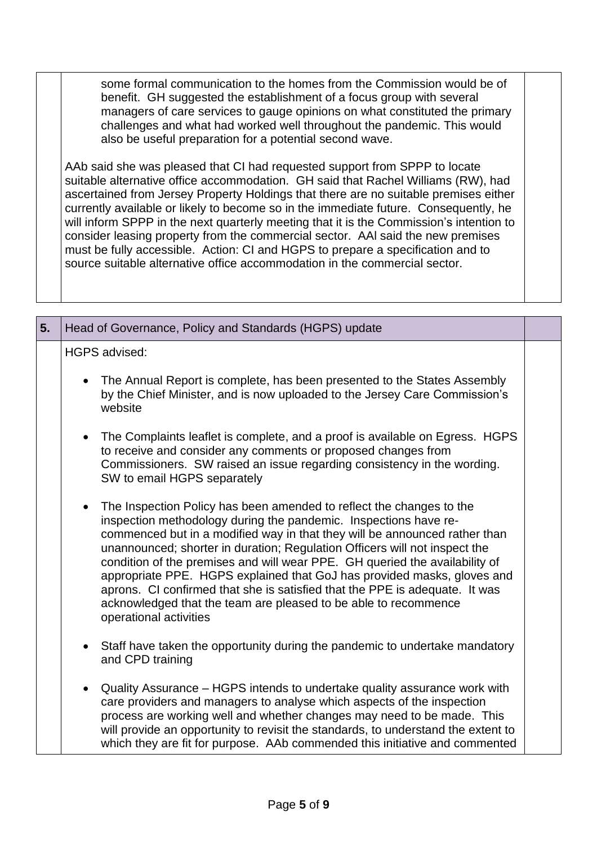some formal communication to the homes from the Commission would be of benefit. GH suggested the establishment of a focus group with several managers of care services to gauge opinions on what constituted the primary challenges and what had worked well throughout the pandemic. This would also be useful preparation for a potential second wave.

AAb said she was pleased that CI had requested support from SPPP to locate suitable alternative office accommodation. GH said that Rachel Williams (RW), had ascertained from Jersey Property Holdings that there are no suitable premises either currently available or likely to become so in the immediate future. Consequently, he will inform SPPP in the next quarterly meeting that it is the Commission's intention to consider leasing property from the commercial sector. AAl said the new premises must be fully accessible. Action: CI and HGPS to prepare a specification and to source suitable alternative office accommodation in the commercial sector.

| 5. | Head of Governance, Policy and Standards (HGPS) update                                                                                                                                                                                                                                                                                                                                                                                                                                                                                                                                                                                                  |  |
|----|---------------------------------------------------------------------------------------------------------------------------------------------------------------------------------------------------------------------------------------------------------------------------------------------------------------------------------------------------------------------------------------------------------------------------------------------------------------------------------------------------------------------------------------------------------------------------------------------------------------------------------------------------------|--|
|    | <b>HGPS advised:</b>                                                                                                                                                                                                                                                                                                                                                                                                                                                                                                                                                                                                                                    |  |
|    | The Annual Report is complete, has been presented to the States Assembly<br>by the Chief Minister, and is now uploaded to the Jersey Care Commission's<br>website                                                                                                                                                                                                                                                                                                                                                                                                                                                                                       |  |
|    | • The Complaints leaflet is complete, and a proof is available on Egress. HGPS<br>to receive and consider any comments or proposed changes from<br>Commissioners. SW raised an issue regarding consistency in the wording.<br>SW to email HGPS separately                                                                                                                                                                                                                                                                                                                                                                                               |  |
|    | The Inspection Policy has been amended to reflect the changes to the<br>$\bullet$<br>inspection methodology during the pandemic. Inspections have re-<br>commenced but in a modified way in that they will be announced rather than<br>unannounced; shorter in duration; Regulation Officers will not inspect the<br>condition of the premises and will wear PPE. GH queried the availability of<br>appropriate PPE. HGPS explained that GoJ has provided masks, gloves and<br>aprons. CI confirmed that she is satisfied that the PPE is adequate. It was<br>acknowledged that the team are pleased to be able to recommence<br>operational activities |  |
|    | • Staff have taken the opportunity during the pandemic to undertake mandatory<br>and CPD training                                                                                                                                                                                                                                                                                                                                                                                                                                                                                                                                                       |  |
|    | Quality Assurance – HGPS intends to undertake quality assurance work with<br>$\bullet$<br>care providers and managers to analyse which aspects of the inspection<br>process are working well and whether changes may need to be made. This<br>will provide an opportunity to revisit the standards, to understand the extent to<br>which they are fit for purpose. AAb commended this initiative and commented                                                                                                                                                                                                                                          |  |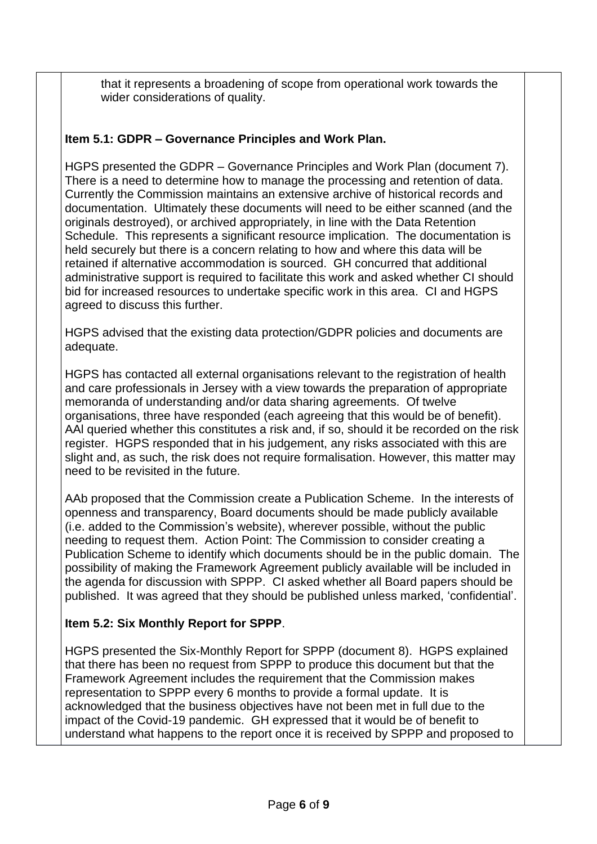that it represents a broadening of scope from operational work towards the wider considerations of quality.

### **Item 5.1: GDPR – Governance Principles and Work Plan.**

HGPS presented the GDPR – Governance Principles and Work Plan (document 7). There is a need to determine how to manage the processing and retention of data. Currently the Commission maintains an extensive archive of historical records and documentation. Ultimately these documents will need to be either scanned (and the originals destroyed), or archived appropriately, in line with the Data Retention Schedule. This represents a significant resource implication. The documentation is held securely but there is a concern relating to how and where this data will be retained if alternative accommodation is sourced. GH concurred that additional administrative support is required to facilitate this work and asked whether CI should bid for increased resources to undertake specific work in this area. CI and HGPS agreed to discuss this further.

HGPS advised that the existing data protection/GDPR policies and documents are adequate.

HGPS has contacted all external organisations relevant to the registration of health and care professionals in Jersey with a view towards the preparation of appropriate memoranda of understanding and/or data sharing agreements. Of twelve organisations, three have responded (each agreeing that this would be of benefit). AAl queried whether this constitutes a risk and, if so, should it be recorded on the risk register. HGPS responded that in his judgement, any risks associated with this are slight and, as such, the risk does not require formalisation. However, this matter may need to be revisited in the future.

AAb proposed that the Commission create a Publication Scheme. In the interests of openness and transparency, Board documents should be made publicly available (i.e. added to the Commission's website), wherever possible, without the public needing to request them. Action Point: The Commission to consider creating a Publication Scheme to identify which documents should be in the public domain. The possibility of making the Framework Agreement publicly available will be included in the agenda for discussion with SPPP. CI asked whether all Board papers should be published. It was agreed that they should be published unless marked, 'confidential'.

#### **Item 5.2: Six Monthly Report for SPPP**.

HGPS presented the Six-Monthly Report for SPPP (document 8). HGPS explained that there has been no request from SPPP to produce this document but that the Framework Agreement includes the requirement that the Commission makes representation to SPPP every 6 months to provide a formal update. It is acknowledged that the business objectives have not been met in full due to the impact of the Covid-19 pandemic. GH expressed that it would be of benefit to understand what happens to the report once it is received by SPPP and proposed to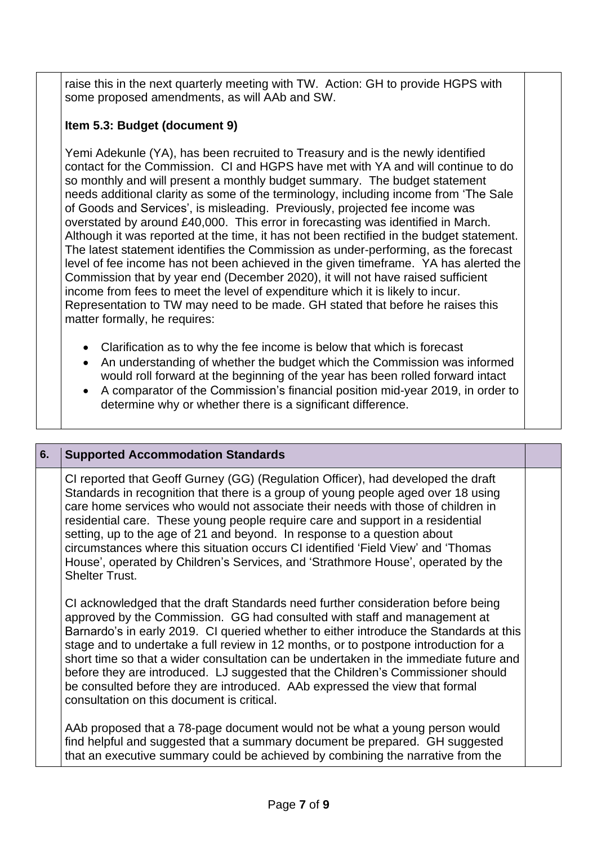raise this in the next quarterly meeting with TW. Action: GH to provide HGPS with some proposed amendments, as will AAb and SW.

## **Item 5.3: Budget (document 9)**

Yemi Adekunle (YA), has been recruited to Treasury and is the newly identified contact for the Commission. CI and HGPS have met with YA and will continue to do so monthly and will present a monthly budget summary. The budget statement needs additional clarity as some of the terminology, including income from 'The Sale of Goods and Services', is misleading. Previously, projected fee income was overstated by around £40,000. This error in forecasting was identified in March. Although it was reported at the time, it has not been rectified in the budget statement. The latest statement identifies the Commission as under-performing, as the forecast level of fee income has not been achieved in the given timeframe. YA has alerted the Commission that by year end (December 2020), it will not have raised sufficient income from fees to meet the level of expenditure which it is likely to incur. Representation to TW may need to be made. GH stated that before he raises this matter formally, he requires:

- Clarification as to why the fee income is below that which is forecast
- An understanding of whether the budget which the Commission was informed would roll forward at the beginning of the year has been rolled forward intact
- A comparator of the Commission's financial position mid-year 2019, in order to determine why or whether there is a significant difference.

### **6. Supported Accommodation Standards**

CI reported that Geoff Gurney (GG) (Regulation Officer), had developed the draft Standards in recognition that there is a group of young people aged over 18 using care home services who would not associate their needs with those of children in residential care. These young people require care and support in a residential setting, up to the age of 21 and beyond. In response to a question about circumstances where this situation occurs CI identified 'Field View' and 'Thomas House', operated by Children's Services, and 'Strathmore House', operated by the Shelter Trust.

CI acknowledged that the draft Standards need further consideration before being approved by the Commission. GG had consulted with staff and management at Barnardo's in early 2019. CI queried whether to either introduce the Standards at this stage and to undertake a full review in 12 months, or to postpone introduction for a short time so that a wider consultation can be undertaken in the immediate future and before they are introduced. LJ suggested that the Children's Commissioner should be consulted before they are introduced. AAb expressed the view that formal consultation on this document is critical.

AAb proposed that a 78-page document would not be what a young person would find helpful and suggested that a summary document be prepared. GH suggested that an executive summary could be achieved by combining the narrative from the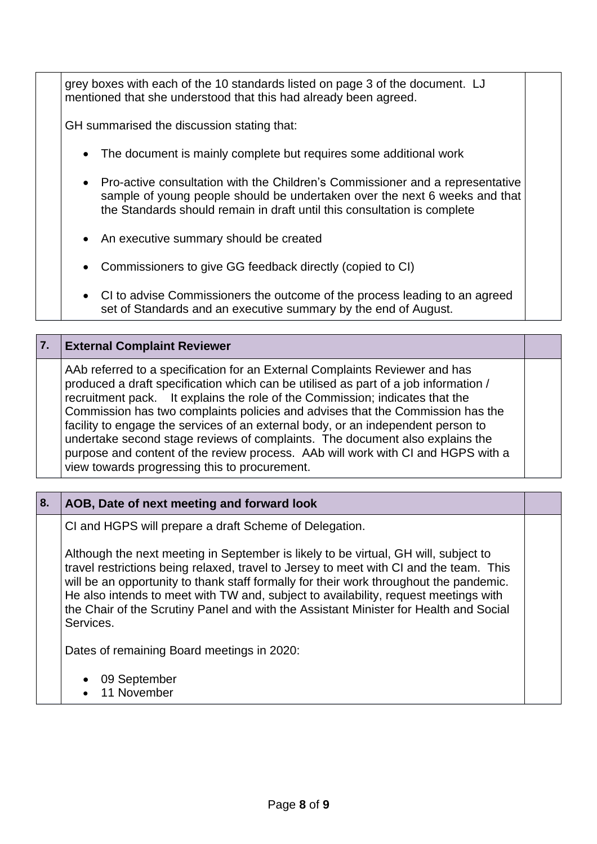grey boxes with each of the 10 standards listed on page 3 of the document. LJ mentioned that she understood that this had already been agreed.

GH summarised the discussion stating that:

- The document is mainly complete but requires some additional work
- Pro-active consultation with the Children's Commissioner and a representative sample of young people should be undertaken over the next 6 weeks and that the Standards should remain in draft until this consultation is complete
- An executive summary should be created
- Commissioners to give GG feedback directly (copied to CI)
- CI to advise Commissioners the outcome of the process leading to an agreed set of Standards and an executive summary by the end of August.

#### **7. External Complaint Reviewer**

AAb referred to a specification for an External Complaints Reviewer and has produced a draft specification which can be utilised as part of a job information / recruitment pack. It explains the role of the Commission; indicates that the Commission has two complaints policies and advises that the Commission has the facility to engage the services of an external body, or an independent person to undertake second stage reviews of complaints. The document also explains the purpose and content of the review process. AAb will work with CI and HGPS with a view towards progressing this to procurement.

#### **8. AOB, Date of next meeting and forward look**

CI and HGPS will prepare a draft Scheme of Delegation.

Although the next meeting in September is likely to be virtual, GH will, subject to travel restrictions being relaxed, travel to Jersey to meet with CI and the team. This will be an opportunity to thank staff formally for their work throughout the pandemic. He also intends to meet with TW and, subject to availability, request meetings with the Chair of the Scrutiny Panel and with the Assistant Minister for Health and Social Services.

Dates of remaining Board meetings in 2020:

- 09 September
- 11 November